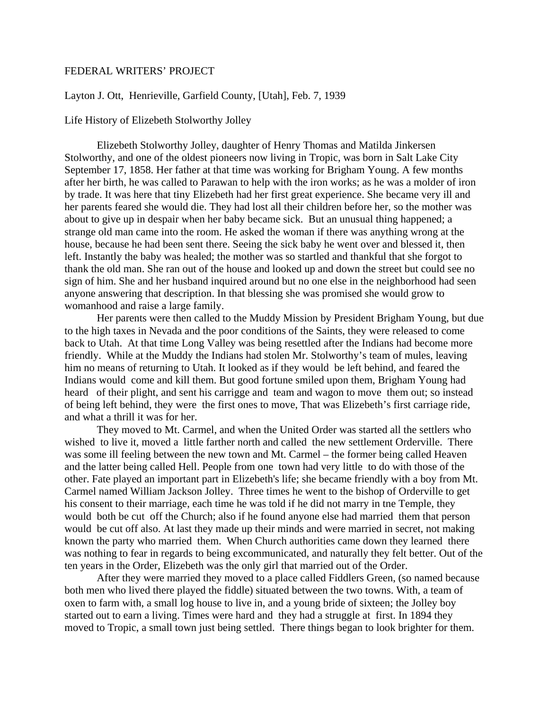## FEDERAL WRITERS' PROJECT

## Layton J. Ott, Henrieville, Garfield County, [Utah], Feb. 7, 1939

## Life History of Elizebeth Stolworthy Jolley

Elizebeth Stolworthy Jolley, daughter of Henry Thomas and Matilda Jinkersen Stolworthy, and one of the oldest pioneers now living in Tropic, was born in Salt Lake City September 17, 1858. Her father at that time was working for Brigham Young. A few months after her birth, he was called to Parawan to help with the iron works; as he was a molder of iron by trade. It was here that tiny Elizebeth had her first great experience. She became very ill and her parents feared she would die. They had lost all their children before her, so the mother was about to give up in despair when her baby became sick. But an unusual thing happened; a strange old man came into the room. He asked the woman if there was anything wrong at the house, because he had been sent there. Seeing the sick baby he went over and blessed it, then left. Instantly the baby was healed; the mother was so startled and thankful that she forgot to thank the old man. She ran out of the house and looked up and down the street but could see no sign of him. She and her husband inquired around but no one else in the neighborhood had seen anyone answering that description. In that blessing she was promised she would grow to womanhood and raise a large family.

 Her parents were then called to the Muddy Mission by President Brigham Young, but due to the high taxes in Nevada and the poor conditions of the Saints, they were released to come back to Utah. At that time Long Valley was being resettled after the Indians had become more friendly. While at the Muddy the Indians had stolen Mr. Stolworthy's team of mules, leaving him no means of returning to Utah. It looked as if they would be left behind, and feared the Indians would come and kill them. But good fortune smiled upon them, Brigham Young had heard of their plight, and sent his carrigge and team and wagon to move them out; so instead of being left behind, they were the first ones to move, That was Elizebeth's first carriage ride, and what a thrill it was for her.

 They moved to Mt. Carmel, and when the United Order was started all the settlers who wished to live it, moved a little farther north and called the new settlement Orderville. There was some ill feeling between the new town and Mt. Carmel – the former being called Heaven and the latter being called Hell. People from one town had very little to do with those of the other. Fate played an important part in Elizebeth's life; she became friendly with a boy from Mt. Carmel named William Jackson Jolley. Three times he went to the bishop of Orderville to get his consent to their marriage, each time he was told if he did not marry in tne Temple, they would both be cut off the Church; also if he found anyone else had married them that person would be cut off also. At last they made up their minds and were married in secret, not making known the party who married them. When Church authorities came down they learned there was nothing to fear in regards to being excommunicated, and naturally they felt better. Out of the ten years in the Order, Elizebeth was the only girl that married out of the Order.

 After they were married they moved to a place called Fiddlers Green, (so named because both men who lived there played the fiddle) situated between the two towns. With, a team of oxen to farm with, a small log house to live in, and a young bride of sixteen; the Jolley boy started out to earn a living. Times were hard and they had a struggle at first. In 1894 they moved to Tropic, a small town just being settled. There things began to look brighter for them.